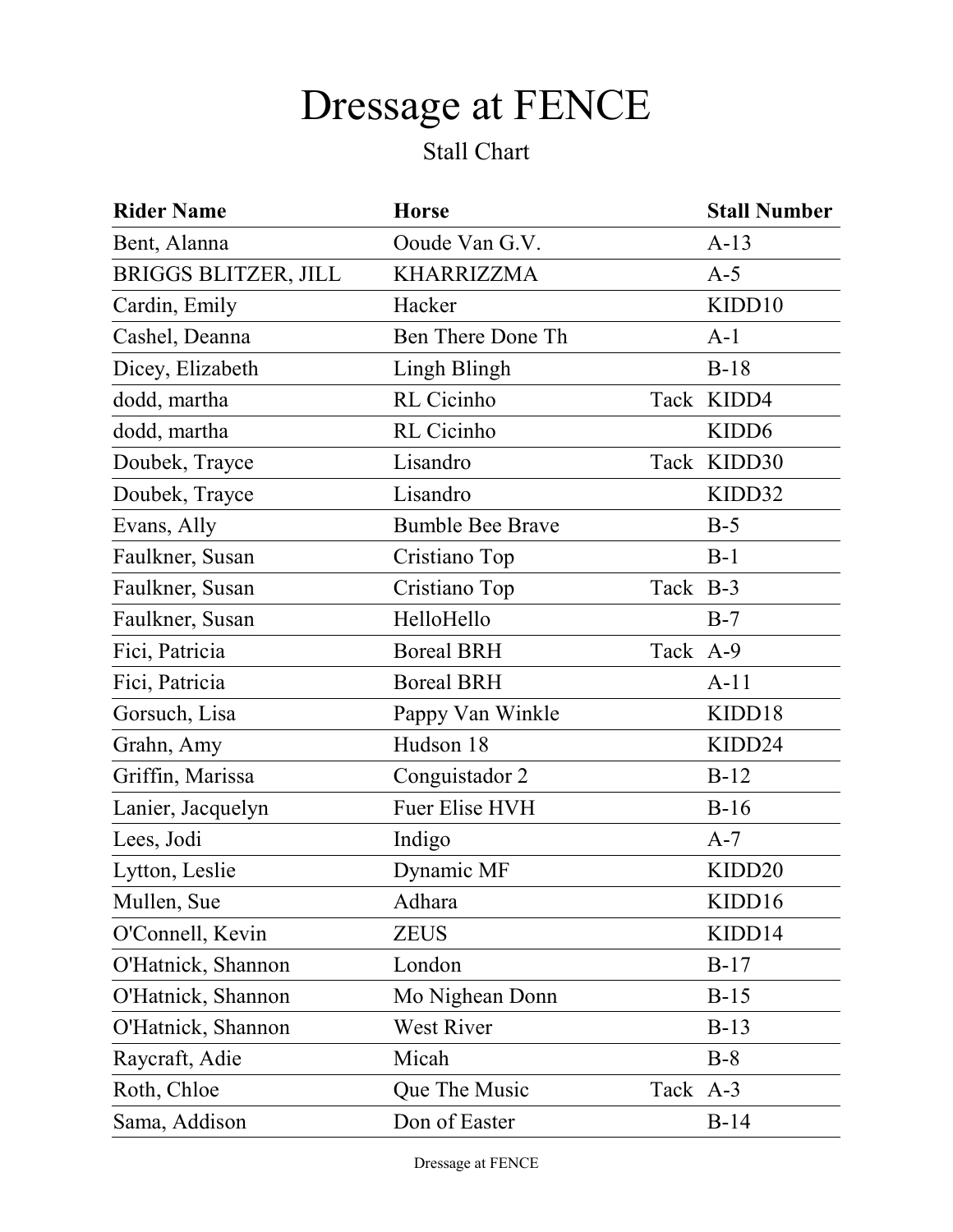## Dressage at FENCE

## Stall Chart

| <b>Rider Name</b>           | <b>Horse</b>            |          | <b>Stall Number</b> |
|-----------------------------|-------------------------|----------|---------------------|
| Bent, Alanna                | Ooude Van G.V.          |          | $A-13$              |
| <b>BRIGGS BLITZER, JILL</b> | <b>KHARRIZZMA</b>       |          | $A-5$               |
| Cardin, Emily               | Hacker                  |          | KIDD10              |
| Cashel, Deanna              | Ben There Done Th       |          | $A-1$               |
| Dicey, Elizabeth            | Lingh Blingh            |          | $B-18$              |
| dodd, martha                | RL Cicinho              |          | Tack KIDD4          |
| dodd, martha                | RL Cicinho              |          | KIDD <sub>6</sub>   |
| Doubek, Trayce              | Lisandro                |          | Tack KIDD30         |
| Doubek, Trayce              | Lisandro                |          | KIDD32              |
| Evans, Ally                 | <b>Bumble Bee Brave</b> |          | $B-5$               |
| Faulkner, Susan             | Cristiano Top           |          | $B-1$               |
| Faulkner, Susan             | Cristiano Top           | Tack B-3 |                     |
| Faulkner, Susan             | HelloHello              |          | $B-7$               |
| Fici, Patricia              | <b>Boreal BRH</b>       | Tack A-9 |                     |
| Fici, Patricia              | <b>Boreal BRH</b>       |          | $A-11$              |
| Gorsuch, Lisa               | Pappy Van Winkle        |          | KIDD18              |
| Grahn, Amy                  | Hudson 18               |          | KIDD24              |
| Griffin, Marissa            | Conguistador 2          |          | $B-12$              |
| Lanier, Jacquelyn           | <b>Fuer Elise HVH</b>   |          | $B-16$              |
| Lees, Jodi                  | Indigo                  |          | $A-7$               |
| Lytton, Leslie              | Dynamic MF              |          | KIDD <sub>20</sub>  |
| Mullen, Sue                 | Adhara                  |          | KIDD16              |
| O'Connell, Kevin            | <b>ZEUS</b>             |          | KIDD14              |
| O'Hatnick, Shannon          | London                  |          | $B-17$              |
| O'Hatnick, Shannon          | Mo Nighean Donn         |          | $B-15$              |
| O'Hatnick, Shannon          | West River              |          | $B-13$              |
| Raycraft, Adie              | Micah                   |          | $B-8$               |
| Roth, Chloe                 | Que The Music           | Tack A-3 |                     |
| Sama, Addison               | Don of Easter           |          | $B-14$              |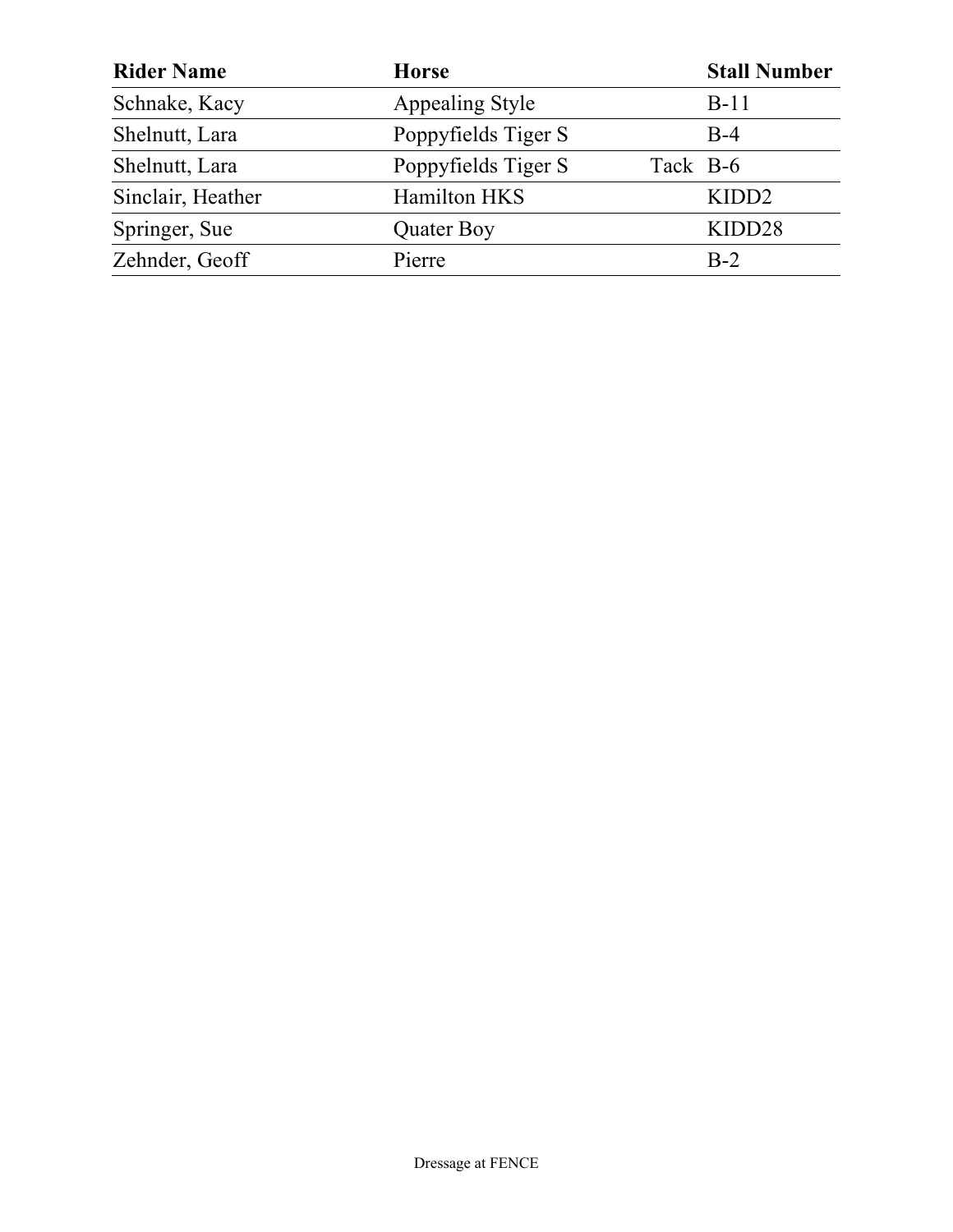| <b>Rider Name</b> | <b>Horse</b>        | <b>Stall Number</b> |
|-------------------|---------------------|---------------------|
| Schnake, Kacy     | Appealing Style     | $B-11$              |
| Shelnutt, Lara    | Poppyfields Tiger S | $B-4$               |
| Shelnutt, Lara    | Poppyfields Tiger S | Tack B-6            |
| Sinclair, Heather | Hamilton HKS        | KIDD <sub>2</sub>   |
| Springer, Sue     | Quater Boy          | KIDD28              |
| Zehnder, Geoff    | Pierre              | $B-2$               |